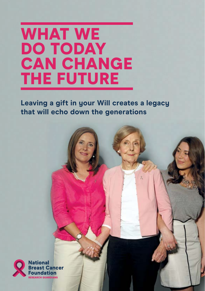# WHAT WE DO TODAY CAN CHANGE THE FUTURE

**Leaving a gift in your Will creates a legacy that will echo down the generations**

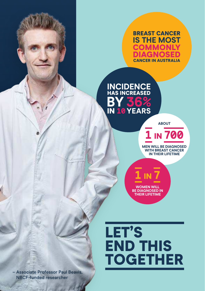BREAST CANCER **IS THE MOST COMMONLY** IAGNO CANCER IN AUSTRALIA

**INCIDENCE**  HAS INCREASED **BY36%**  IN **10YEARS**

**ABOUT**

**1** IN **700** 

**MEN WILL BE DIAGNOSED WITH BREAST CANCER IN THEIR LIFETIME**

**WOMEN WILL BE DIAGNOSED IN THEIR LIFETIME**

**1** IN **7**

LET'S END THIS TOGETHER

– Associate Professor Paul Beavis, NBCF-funded researcher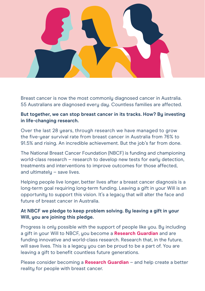

Breast cancer is now the most commonly diagnosed cancer in Australia. 55 Australians are diagnosed every day. Countless families are affected.

### **But together, we can stop breast cancer in its tracks. How? By investing in life-changing research.**

Over the last 28 years, through research we have managed to grow the five-year survival rate from breast cancer in Australia from 76% to 91.5% and rising. An incredible achievement. But the job's far from done.

The National Breast Cancer Foundation (NBCF) is funding and championing world-class research – research to develop new tests for early detection, treatments and interventions to improve outcomes for those affected, and ultimately – save lives.

Helping people live longer, better lives after a breast cancer diagnosis is a long-term goal requiring long-term funding. Leaving a gift in your Will is an opportunity to support this vision. It's a legacy that will alter the face and future of breast cancer in Australia.

### **At NBCF we pledge to keep problem solving. By leaving a gift in your Will, you are joining this pledge.**

Progress is only possible with the support of people like you. By including a gift in your Will to NBCF, you become a **Research Guardian** and are funding innovative and world-class research. Research that, in the future, will save lives. This is a legacy you can be proud to be a part of. You are leaving a gift to benefit countless future generations.

Please consider becoming a **Research Guardian** – and help create a better reality for people with breast cancer.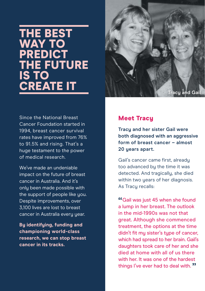# THE BEST WAY TO **PREDICT** THE FUTURE IS TO CREATE IT



Since the National Breast Cancer Foundation started in 1994, breast cancer survival rates have improved from 76% to 91.5% and rising. That's a huge testament to the power of medical research.

We've made an undeniable impact on the future of breast cancer in Australia. And it's only been made possible with the support of people like you. Despite improvements, over 3,100 lives are lost to breast cancer in Australia every year.

**By identifying, funding and championing world-class research, we can stop breast cancer in its tracks.**

### Meet Tracy

**Tracy and her sister Gail were both diagnosed with an aggressive form of breast cancer – almost 20 years apart.** 

Gail's cancer came first, already too advanced by the time it was detected. And tragically, she died within two years of her diagnosis. As Tracy recalls:

"Gail was just 45 when she found<br>a lump in her breast. The outlook a lump in her breast. The outlook in the mid-1990s was not that great. Although she commenced treatment, the options at the time didn't fit my sister's type of cancer, which had spread to her brain. Gail's daughters took care of her and she died at home with all of us there with her. It was one of the hardest things I've ever had to deal with. "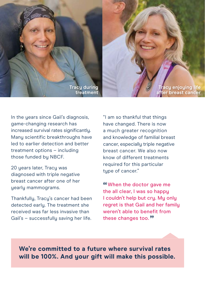

**Tracy enjoying life breast cancer** 

In the years since Gail's diagnosis, game-changing research has increased survival rates significantly. Many scientific breakthroughs have led to earlier detection and better treatment options – including those funded by NBCF.

20 years later, Tracy was diagnosed with triple negative breast cancer after one of her yearly mammograms.

Thankfully, Tracy's cancer had been detected early. The treatment she received was far less invasive than Gail's – successfully saving her life.

"I am so thankful that things have changed. There is now a much greater recognition and knowledge of familial breast cancer, especially triple negative breast cancer. We also now know of different treatments required for this particular type of cancer."

"When the doctor gave me<br>the all clear I was so hannu the all clear, I was so happy I couldn't help but cry. My only regret is that Gail and her family weren't able to benefit from these changes too. **"** 

**We're committed to a future where survival rates will be 100%. And your gift will make this possible.**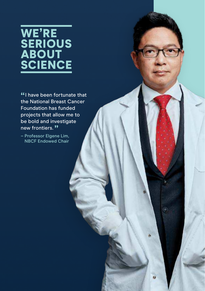# WE'RE **SERIOUS ABOUT SCIENCE**

**"** I have been fortunate that<br>the National Breast Cancer the National Breast Cancer Foundation has funded projects that allow me to be bold and investigate new frontiers."

 $\circledcirc$ 

– Professor Elgene Lim, NBCF Endowed Chair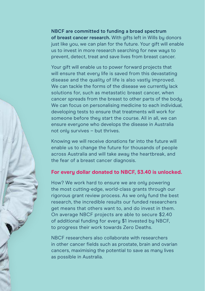**NBCF are committed to funding a broad spectrum of breast cancer research.** With gifts left in Wills by donors just like you, we can plan for the future. Your gift will enable us to invest in more research searching for new ways to prevent, detect, treat and save lives from breast cancer.

Your gift will enable us to power forward projects that will ensure that every life is saved from this devastating disease and the quality of life is also vastly improved. We can tackle the forms of the disease we currently lack solutions for, such as metastatic breast cancer, when cancer spreads from the breast to other parts of the body. We can focus on personalising medicine to each individual, developing tests to ensure that treatments will work for someone before they start the course. All in all, we can ensure everyone who develops the disease in Australia not only survives – but thrives.

Knowing we will receive donations far into the future will enable us to change the future for thousands of people across Australia and will take away the heartbreak, and the fear of a breast cancer diagnosis.

### **For every dollar donated to NBCF, \$3.40 is unlocked.**

How? We work hard to ensure we are only powering the most cutting-edge, world-class grants through our rigorous grant review process. As we only fund the best research, the incredible results our funded researchers get means that others want to, and do invest in them. On average NBCF projects are able to secure \$2.40 of additional funding for every \$1 invested by NBCF, to progress their work towards Zero Deaths.

NBCF researchers also collaborate with researchers in other cancer fields such as prostate, brain and ovarian cancers, maximising the potential to save as many lives as possible in Australia.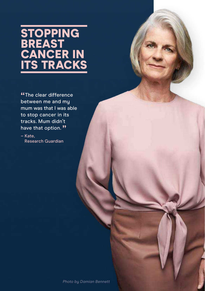# **STOPPING BREAST** CANCER IN <u>ITS TRACKS</u>

**"T**he clear differenc<br>between me and my The clear difference mum was that I was able to stop cancer in its tracks. Mum didn't have that option. "

– Kate, Research Guardian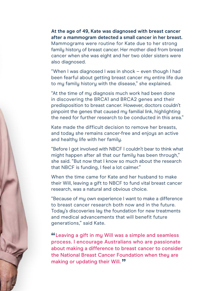**At the age of 49, Kate was diagnosed with breast cancer after a mammogram detected a small cancer in her breast.**  Mammograms were routine for Kate due to her strong family history of breast cancer. Her mother died from breast cancer when she was eight and her two older sisters were also diagnosed.

"When I was diagnosed I was in shock – even though I had been fearful about getting breast cancer my entire life due to my family history with the disease," she explained.

"At the time of my diagnosis much work had been done in discovering the BRCA1 and BRCA2 genes and their predisposition to breast cancer. However, doctors couldn't pinpoint the genes that caused my familial link, highlighting the need for further research to be conducted in this area."

Kate made the difficult decision to remove her breasts, and today she remains cancer-free and enjoys an active and healthy life with her family.

"Before I got involved with NBCF I couldn't bear to think what might happen after all that our family has been through," she said. "But now that I know so much about the research that NBCF is funding, I feel a lot calmer."

When the time came for Kate and her husband to make their Will, leaving a gift to NBCF to fund vital breast cancer research, was a natural and obvious choice.

"Because of my own experience I want to make a difference to breast cancer research both now and in the future. Todau's discoveries lau the foundation for new treatments and medical advancements that will benefit future generations," said Kate.

" Leaving a gift in my Will was a simple and seamless process. I encourage Australians who are passionate about making a difference to breast cancer to consider the National Breast Cancer Foundation when they are making or updating their Will. **"**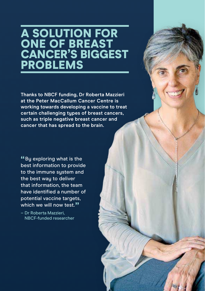# A SOLUTION FOR ONE OF BREAST CANCER'S BIGGEST PROBLEMS

**Thanks to NBCF funding, Dr Roberta Mazzieri at the Peter MacCallum Cancer Centre is working towards developing a vaccine to treat certain challenging types of breast cancers, such as triple negative breast cancer and cancer that has spread to the brain.**

 $^{46}$ By exploring what is the<br>best information to provid best information to provide to the immune system and the best way to deliver that information, the team have identified a number of potential vaccine targets, which we will now test.**""**<br>Diskerte Merrieri

– Dr Roberta Mazzieri, NBCF-funded researcher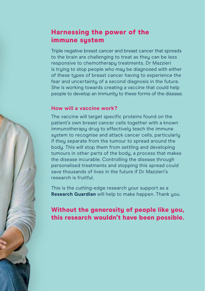## Harnessing the power of the immune sustem

Triple negative breast cancer and breast cancer that spreads to the brain are challenging to treat as they can be less responsive to chemotherapy treatments. Dr Mazzieri is truing to stop people who may be diagnosed with either of these types of breast cancer having to experience the fear and uncertainty of a second diagnosis in the future. She is working towards creating a vaccine that could help people to develop an immunity to these forms of the disease.

### **How will a vaccine work?**

The vaccine will target specific proteins found on the patient's own breast cancer cells together with a known immunotherapy drug to effectively teach the immune system to recognise and attack cancer cells, particularly if they separate from the tumour to spread around the body. This will stop them from settling and developing tumours in other parts of the body, a process that makes the disease incurable. Controlling the disease through personalised treatments and stopping this spread could save thousands of lives in the future if Dr Mazzieri's research is fruitful.

This is the cutting-edge research your support as a **Research Guardian** will help to make happen. Thank you.

# Without the generosity of people like you, this research wouldn't have been possible.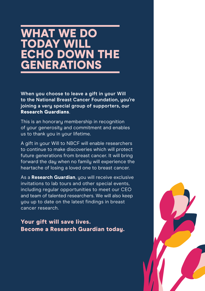# WHAT WE DO TODAY WILL ECHO DOWN THE **GENERATIONS**

**When you choose to leave a gift in your Will to the National Breast Cancer Foundation, you're joining a very special group of supporters, our**  Research Guardians.

This is an honorary membership in recognition of your generosity and commitment and enables us to thank you in your lifetime.

A gift in your Will to NBCF will enable researchers to continue to make discoveries which will protect future generations from breast cancer. It will bring forward the day when no family will experience the heartache of losing a loved one to breast cancer.

As a **Research Guardian**, you will receive exclusive invitations to lab tours and other special events, including regular opportunities to meet our CEO and team of talented researchers. We will also keep you up to date on the latest findings in breast cancer research.

Your gift will save lives. Become a Research Guardian today.

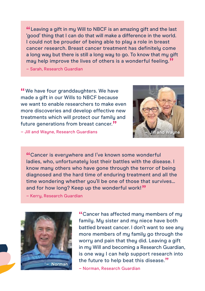" 'good' thing that I can do that will make a difference in the world. Leaving a gift in my Will to NBCF is an amazing gift and the last I could not be prouder of being able to play a role in breast cancer research. Breast cancer treatment has definitely come a long way but there is still a long way to go. To know that my gift may help improve the lives of others is a wonderful feeling. "

– Sarah, Research Guardian

"We have four granddaughters. We have<br>made a gift in our Wills to NRCE because made a gift in our Wills to NBCF because we want to enable researchers to make even more discoveries and develop effective new treatments which will protect our family and future generations from breast cancer. "



– Jill and Wayne, Research Guardians

" Cancer is everywhere and I've known some wonderful ladies, who, unfortunately lost their battles with the disease. I know many others who have gone through the terror of being diagnosed and the hard time of enduring treatment and all the time wondering whether you'll be one of those that survives... and for how long? Keep up the wonderful work! "

– Kerry, Research Guardian



"Cancer has affected many members of my<br>family My sister and my niece have both family. My sister and my niece have both battled breast cancer. I don't want to see any more members of my family go through the worry and pain that they did. Leaving a gift in my Will and becoming a Research Guardian, is one way I can help support research into the future to help beat this disease. "

– Norman, Research Guardian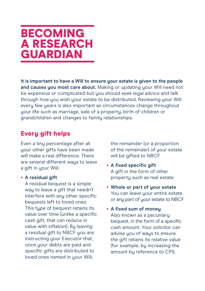# BECOMING A RESEARCH **GUARDIAN**

**It is important to have a Will to ensure your estate is given to the people and causes you most care about.** Making or updating your Will need not be expensive or complicated but you should seek legal advice and talk through how you wish your estate to be distributed. Reviewing your Will every few years is also important as circumstances change throughout your life such as marriage, sale of a property, birth of children or grandchildren and changes to family relationships.

### Every gift helps

Even a tiny percentage after all your other gifts have been made will make a real difference. There are several different waus to leave a gift in your Will.

#### • **A residual gift**

A residual bequest is a simple way to leave a gift that needn't interfere with any other specific bequests left to loved ones. This type of bequest retains its value over time (unlike a specific cash gift, that can reduce in value with inflation). Bu leaving a residual gift to NBCF you are instructing your Executor that, once your debts are paid and specific gifts are distributed to loved ones named in your Will,

the remainder (or a proportion of the remainder) of your estate will be gifted to NBCF

- **A fixed specific gift**  A gift in the form of other property such as real estate
- **Whole or part of your estate** You can leave your entire estate or any part of your estate to NBCF
- **A fixed sum of money** Also known as a pecuniary bequest, in the form of a specific cash amount. Your solicitor can advise you of ways to ensure the gift retains its relative value (for example, by increasing the amount by reference to CPI).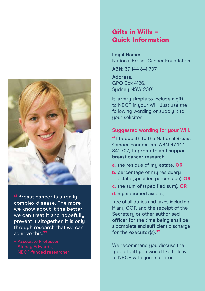

<mark>"</mark>Breast cancer is a really<br>complex disease. The mor complex disease. The more we know about it the better we can treat it and hopefullu prevent it altogether. It is only through research that we can achieve this."<br>Assasiate Bad

### Gifts in Wills – Quick Information

**Legal Name:**  National Breast Cancer Foundation

**ABN:** 37 144 841 707

**Address:**  GPO Box 4126, Sudney NSW 2001

It is very simple to include a gift to NBCF in your Will. Just use the following wording or supply it to your solicitor:

#### **Suggested wording for your Will:**

" Cancer Foundation, ABN 37 144 I bequeath to the National Breast 841 707, to promote and support breast cancer research,

- **a.** the residue of my estate, **OR**
- **b.** percentage of mu residuary estate (specified percentage), **OR**
- **c.** the sum of (specified sum), **OR**
- **d.** my specified assets,

free of all duties and taxes including, if any CGT, and the receipt of the Secretary or other authorised officer for the time being shall be a complete and sufficient discharge for the executor(s)."

We recommend you discuss the type of gift you would like to leave to NBCF with your solicitor.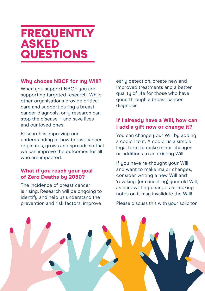# **FREQUENTLY** ASKED QUESTIONS

### **Why choose NBCF for my Will?**

When you support NBCF you are supporting targeted research. While other organisations provide critical care and support during a breast cancer diagnosis, only research can stop the disease – and save lives and our loved ones.

Research is improving our understanding of how breast cancer originates, grows and spreads so that we can improve the outcomes for all who are impacted.

### **What if you reach your goal of Zero Deaths by 2030?**

The incidence of breast cancer is rising. Research will be ongoing to identify and help us understand the prevention and risk factors, improve

early detection, create new and improved treatments and a better quality of life for those who have gone through a breast cancer diagnosis.

### **If I already have a Will, how can I add a gift now or change it?**

You can change your Will by adding a codicil to it. A codicil is a simple legal form to make minor changes or additions to an existing Will.

If you have re-thought your Will and want to make major changes, consider writing a new Will and 'revoking' (or cancelling) your old Will, as handwriting changes or making notes on it may invalidate the Will!

Please discuss this with your solicitor.

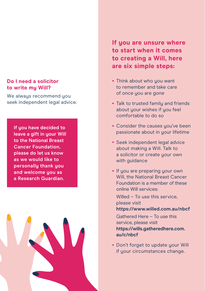#### **Do I need a solicitor to write my Will?**

We always recommend you seek independent legal advice.

**If you have decided to leave a gift in your Will to the National Breast Cancer Foundation, please do let us know as we would like to personally thank you and welcome you as a Research Guardian.**



**If you are unsure where to start when it comes to creating a Will, here are six simple steps:**

- Think about who you want to remember and take care of once you are gone
- Talk to trusted family and friends about your wishes if you feel comfortable to do so
- Consider the causes you've been passionate about in your lifetime
- Seek independent legal advice about making a Will. Talk to a solicitor or create your own with guidance
- If you are preparing your own Will, the National Breast Cancer Foundation is a member of these online Will services:

Willed – To use this service. please visit **https://www.willed.com.au/nbcf**

Gathered Here – To use this service, please visit **https://wills.gatheredhere.com. au/c/nbcf**

• Don't forget to update your Will if your circumstances change.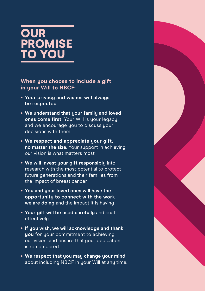# **OUR** PROMISE <u>TO YOU</u>

**When you choose to include a gift in your Will to NBCF:**

- **Your privacy and wishes will always be respected**
- **We understand that your family and loved ones come first.** Your Will is your legacy, and we encourage you to discuss your decisions with them
- **We respect and appreciate your gift, no matter the size.** Your support in achieving our vision is what matters most
- **We will invest your gift responsibly** into research with the most potential to protect future generations and their families from the impact of breast cancer
- **You and your loved ones will have the opportunity to connect with the work we are doing** and the impact it is having
- **Your gift will be used carefully** and cost effectively
- **If you wish, we will acknowledge and thank you** for your commitment to achieving our vision, and ensure that your dedication is remembered
- **We respect that you may change your mind** about including NBCF in your Will at any time.

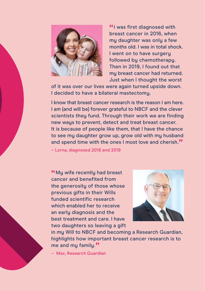

<u>"I was first diagnosed with<br>breast cancer in 2016, when</u> breast cancer in 2016, when my daughter was only a few months old. I was in total shock. I went on to have surgery followed by chemotherapy. Then in 2019, I found out that my breast cancer had returned. Just when I thought the worst

of it was over our lives were again turned upside down. I decided to have a bilateral mastectomy.

I know that breast cancer research is the reason I am here. I am (and will be) forever grateful to NBCF and the clever scientists they fund. Through their work we are finding new ways to prevent, detect and treat breast cancer. It is because of people like them, that I have the chance to see mu daughter grow up, grow old with mu husband and spend time with the ones I most love and cherish."<br>Law ediamased 2016 and 2019

– Lorna, diagnosed 2016 and 2019

"My wife recently had breast<br>cancer and benefited from cancer and benefited from the generosity of those whose previous gifts in their Wills funded scientific research which enabled her to receive an early diagnosis and the best treatment and care. I have two daughters so leaving a gift



in my Will to NBCF and becoming a Research Guardian, highlights how important breast cancer research is to me and my family."

– Max, Research Guardian